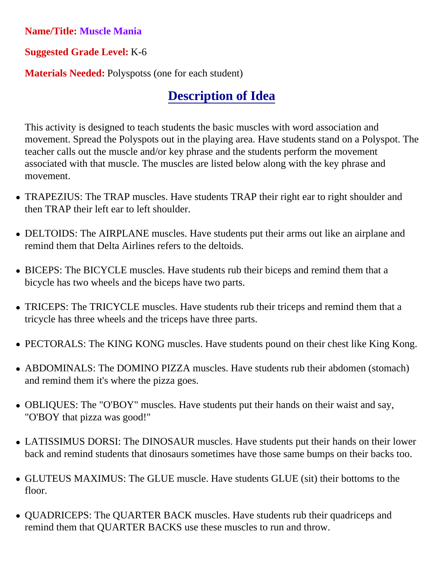## **Name/Title: Muscle Mania**

## **Suggested Grade Level:** K-6

**Materials Needed:** Polyspotss (one for each student)

## **Description of Idea**

This activity is designed to teach students the basic muscles with word association and movement. Spread the Polyspots out in the playing area. Have students stand on a Polyspot. The teacher calls out the muscle and/or key phrase and the students perform the movement associated with that muscle. The muscles are listed below along with the key phrase and movement.

- TRAPEZIUS: The TRAP muscles. Have students TRAP their right ear to right shoulder and then TRAP their left ear to left shoulder.
- DELTOIDS: The AIRPLANE muscles. Have students put their arms out like an airplane and remind them that Delta Airlines refers to the deltoids.
- BICEPS: The BICYCLE muscles. Have students rub their biceps and remind them that a bicycle has two wheels and the biceps have two parts.
- TRICEPS: The TRICYCLE muscles. Have students rub their triceps and remind them that a tricycle has three wheels and the triceps have three parts.
- PECTORALS: The KING KONG muscles. Have students pound on their chest like King Kong.
- ABDOMINALS: The DOMINO PIZZA muscles. Have students rub their abdomen (stomach) and remind them it's where the pizza goes.
- OBLIQUES: The "O'BOY" muscles. Have students put their hands on their waist and say, "O'BOY that pizza was good!"
- LATISSIMUS DORSI: The DINOSAUR muscles. Have students put their hands on their lower back and remind students that dinosaurs sometimes have those same bumps on their backs too.
- GLUTEUS MAXIMUS: The GLUE muscle. Have students GLUE (sit) their bottoms to the floor.
- QUADRICEPS: The QUARTER BACK muscles. Have students rub their quadriceps and remind them that QUARTER BACKS use these muscles to run and throw.